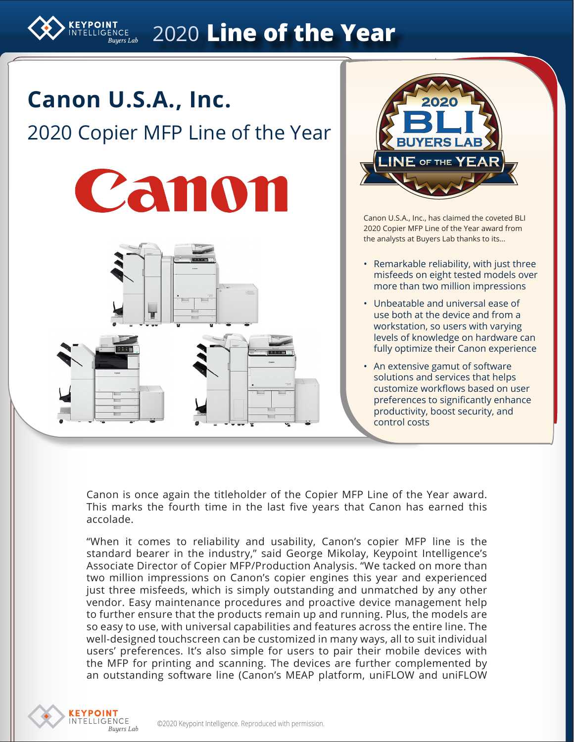# 2020 **Line of the Year**

# **Canon U.S.A., Inc.**

**YPOINT** 

# 2020 Copier MFP Line of the Year





Canon U.S.A., Inc., has claimed the coveted BLI 2020 Copier MFP Line of the Year award from the analysts at Buyers Lab thanks to its…

- Remarkable reliability, with just three misfeeds on eight tested models over more than two million impressions
- Unbeatable and universal ease of use both at the device and from a workstation, so users with varying levels of knowledge on hardware can fully optimize their Canon experience
- An extensive gamut of software solutions and services that helps customize workflows based on user preferences to significantly enhance productivity, boost security, and control costs

Canon is once again the titleholder of the Copier MFP Line of the Year award. This marks the fourth time in the last five years that Canon has earned this accolade.

"When it comes to reliability and usability, Canon's copier MFP line is the standard bearer in the industry," said George Mikolay, Keypoint Intelligence's Associate Director of Copier MFP/Production Analysis. "We tacked on more than two million impressions on Canon's copier engines this year and experienced just three misfeeds, which is simply outstanding and unmatched by any other vendor. Easy maintenance procedures and proactive device management help to further ensure that the products remain up and running. Plus, the models are so easy to use, with universal capabilities and features across the entire line. The well-designed touchscreen can be customized in many ways, all to suit individual users' preferences. It's also simple for users to pair their mobile devices with the MFP for printing and scanning. The devices are further complemented by an outstanding software line (Canon's MEAP platform, uniFLOW and uniFLOW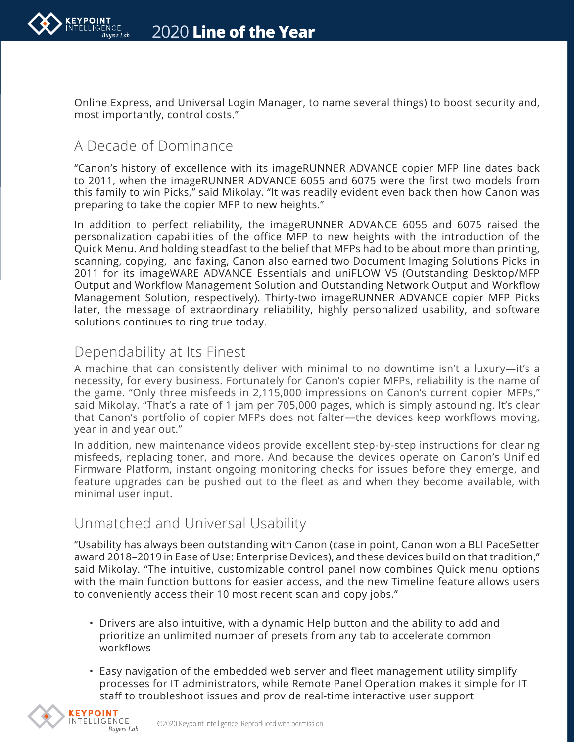

Online Express, and Universal Login Manager, to name several things) to boost security and, most importantly, control costs."

## A Decade of Dominance

"Canon's history of excellence with its imageRUNNER ADVANCE copier MFP line dates back to 2011, when the imageRUNNER ADVANCE 6055 and 6075 were the first two models from this family to win Picks," said Mikolay. "It was readily evident even back then how Canon was preparing to take the copier MFP to new heights."

In addition to perfect reliability, the imageRUNNER ADVANCE 6055 and 6075 raised the personalization capabilities of the office MFP to new heights with the introduction of the Quick Menu. And holding steadfast to the belief that MFPs had to be about more than printing, scanning, copying, and faxing, Canon also earned two Document Imaging Solutions Picks in 2011 for its imageWARE ADVANCE Essentials and uniFLOW V5 (Outstanding Desktop/MFP Output and Workflow Management Solution and Outstanding Network Output and Workflow Management Solution, respectively). Thirty-two imageRUNNER ADVANCE copier MFP Picks later, the message of extraordinary reliability, highly personalized usability, and software solutions continues to ring true today.

### Dependability at Its Finest

A machine that can consistently deliver with minimal to no downtime isn't a luxury—it's a necessity, for every business. Fortunately for Canon's copier MFPs, reliability is the name of the game. "Only three misfeeds in 2,115,000 impressions on Canon's current copier MFPs," said Mikolay. "That's a rate of 1 jam per 705,000 pages, which is simply astounding. It's clear that Canon's portfolio of copier MFPs does not falter—the devices keep workflows moving, year in and year out."

In addition, new maintenance videos provide excellent step-by-step instructions for clearing misfeeds, replacing toner, and more. And because the devices operate on Canon's Unified Firmware Platform, instant ongoing monitoring checks for issues before they emerge, and feature upgrades can be pushed out to the fleet as and when they become available, with minimal user input.

## Unmatched and Universal Usability

"Usability has always been outstanding with Canon (case in point, Canon won a BLI PaceSetter award 2018–2019 in Ease of Use: Enterprise Devices), and these devices build on that tradition," said Mikolay. "The intuitive, customizable control panel now combines Quick menu options with the main function buttons for easier access, and the new Timeline feature allows users to conveniently access their 10 most recent scan and copy jobs."

- Drivers are also intuitive, with a dynamic Help button and the ability to add and prioritize an unlimited number of presets from any tab to accelerate common workflows
- Easy navigation of the embedded web server and fleet management utility simplify processes for IT administrators, while Remote Panel Operation makes it simple for IT staff to troubleshoot issues and provide real-time interactive user support

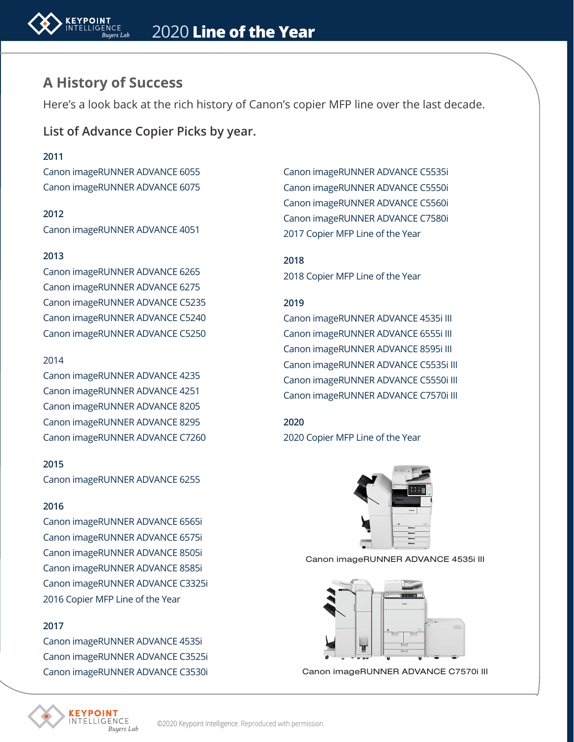

### **A History of Success**

Here's a look back at the rich history of Canon's copier MFP line over the last decade.

**List of Advance Copier Picks by year.**

### **2011**

Canon imageRUNNER ADVANCE 6055 Canon imageRUNNER ADVANCE 6075

**2012** Canon imageRUNNER ADVANCE 4051

### **2013**

Canon imageRUNNER ADVANCE 6265 Canon imageRUNNER ADVANCE 6275 Canon imageRUNNER ADVANCE C5235 Canon imageRUNNER ADVANCE C5240 Canon imageRUNNER ADVANCE C5250

### 2014

Canon imageRUNNER ADVANCE 4235 Canon imageRUNNER ADVANCE 4251 Canon imageRUNNER ADVANCE 8205 Canon imageRUNNER ADVANCE 8295 Canon imageRUNNER ADVANCE C7260

#### **2015**

Canon imageRUNNER ADVANCE 6255

### **2016**

Canon imageRUNNER ADVANCE 6565i Canon imageRUNNER ADVANCE 6575i Canon imageRUNNER ADVANCE 8505i Canon imageRUNNER ADVANCE 8585i Canon imageRUNNER ADVANCE C3325i 2016 Copier MFP Line of the Year

### **2017**

Canon imageRUNNER ADVANCE 4535i Canon imageRUNNER ADVANCE C3525i Canon imageRUNNER ADVANCE C3530i

Buyers Lab

**FILIGENCE** 

Canon imageRUNNER ADVANCE C5535i Canon imageRUNNER ADVANCE C5550i Canon imageRUNNER ADVANCE C5560i Canon imageRUNNER ADVANCE C7580i 2017 Copier MFP Line of the Year

**2018** 2018 Copier MFP Line of the Year

#### **2019**

Canon imageRUNNER ADVANCE 4535i III Canon imageRUNNER ADVANCE 6555i III Canon imageRUNNER ADVANCE 8595i III Canon imageRUNNER ADVANCE C5535i III Canon imageRUNNER ADVANCE C5550i III Canon imageRUNNER ADVANCE C7570i III

### **2020**

2020 Copier MFP Line of the Year



Canon imageRUNNER ADVANCE 4535i III



Canon imageRUNNER ADVANCE C7570i III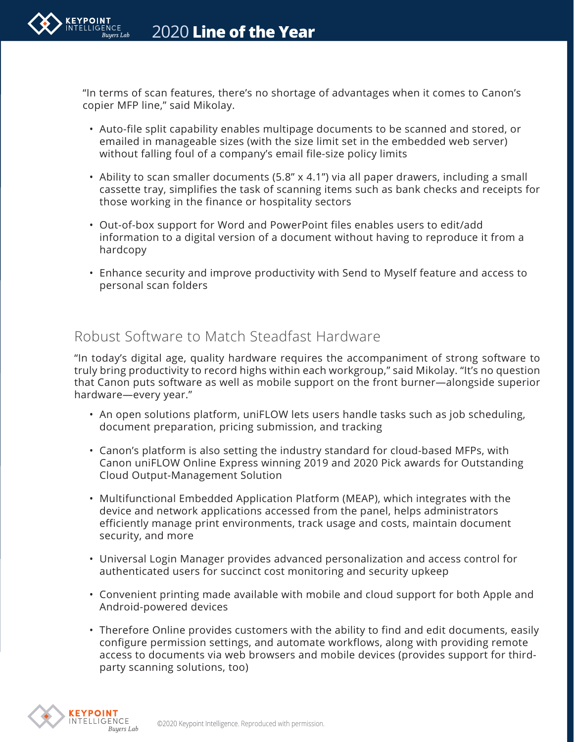

"In terms of scan features, there's no shortage of advantages when it comes to Canon's copier MFP line," said Mikolay.

- Auto-file split capability enables multipage documents to be scanned and stored, or emailed in manageable sizes (with the size limit set in the embedded web server) without falling foul of a company's email file-size policy limits
- Ability to scan smaller documents (5.8" x 4.1") via all paper drawers, including a small cassette tray, simplifies the task of scanning items such as bank checks and receipts for those working in the finance or hospitality sectors
- Out-of-box support for Word and PowerPoint files enables users to edit/add information to a digital version of a document without having to reproduce it from a hardcopy
- Enhance security and improve productivity with Send to Myself feature and access to personal scan folders

## Robust Software to Match Steadfast Hardware

"In today's digital age, quality hardware requires the accompaniment of strong software to truly bring productivity to record highs within each workgroup," said Mikolay. "It's no question that Canon puts software as well as mobile support on the front burner—alongside superior hardware—every year."

- An open solutions platform, uniFLOW lets users handle tasks such as job scheduling, document preparation, pricing submission, and tracking
- Canon's platform is also setting the industry standard for cloud-based MFPs, with Canon uniFLOW Online Express winning 2019 and 2020 Pick awards for Outstanding Cloud Output-Management Solution
- Multifunctional Embedded Application Platform (MEAP), which integrates with the device and network applications accessed from the panel, helps administrators efficiently manage print environments, track usage and costs, maintain document security, and more
- Universal Login Manager provides advanced personalization and access control for authenticated users for succinct cost monitoring and security upkeep
- Convenient printing made available with mobile and cloud support for both Apple and Android-powered devices
- Therefore Online provides customers with the ability to find and edit documents, easily configure permission settings, and automate workflows, along with providing remote access to documents via web browsers and mobile devices (provides support for thirdparty scanning solutions, too)

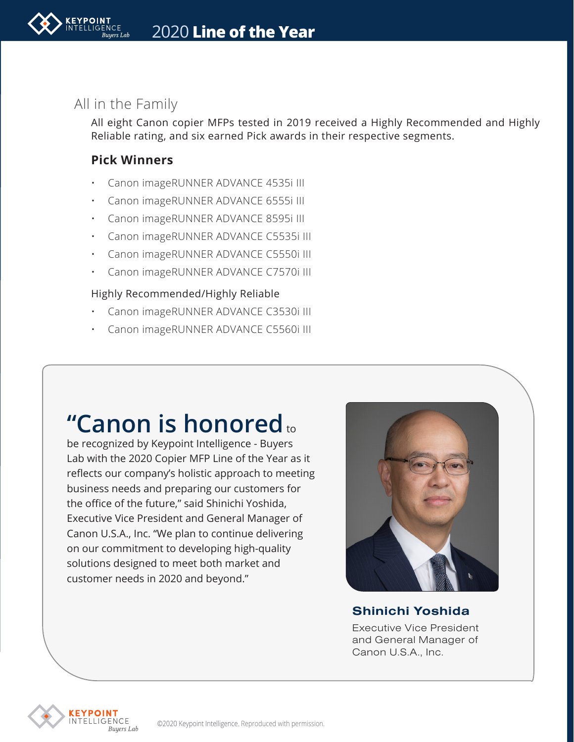### All in the Family

All eight Canon copier MFPs tested in 2019 received a Highly Recommended and Highly Reliable rating, and six earned Pick awards in their respective segments.

### **Pick Winners**

- Canon imageRUNNER ADVANCE 4535i III
- Canon imageRUNNER ADVANCE 6555i III
- Canon imageRUNNER ADVANCE 8595i III
- Canon imageRUNNER ADVANCE C5535i III
- Canon imageRUNNER ADVANCE C5550i III
- Canon imageRUNNER ADVANCE C7570i III

### Highly Recommended/Highly Reliable

- Canon imageRUNNER ADVANCE C3530i III
- Canon imageRUNNER ADVANCE C5560i III

# **"Canon is honored** to

be recognized by Keypoint Intelligence - Buyers Lab with the 2020 Copier MFP Line of the Year as it reflects our company's holistic approach to meeting business needs and preparing our customers for the office of the future," said Shinichi Yoshida, Executive Vice President and General Manager of Canon U.S.A., Inc. "We plan to continue delivering on our commitment to developing high-quality solutions designed to meet both market and customer needs in 2020 and beyond."



### Shinichi Yoshida

Executive Vice President and General Manager of Canon U.S.A., Inc.